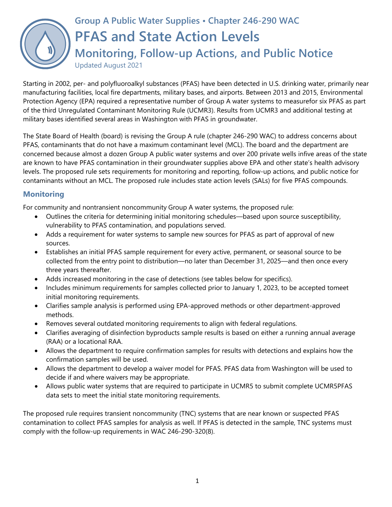

# **Group A Public Water Supplies • Chapter 246-290 WAC PFAS and State Action Levels Monitoring, Follow-up Actions, and Public Notice** Updated August 2021

Starting in 2002, per- and polyfluoroalkyl substances (PFAS) have been detected in U.S. drinking water, primarily near manufacturing facilities, local fire departments, military bases, and airports. Between 2013 and 2015, Environmental Protection Agency (EPA) required a representative number of Group A water systems to measurefor six PFAS as part of the third Unregulated Contaminant Monitoring Rule (UCMR3). Results from UCMR3 and additional testing at military bases identified several areas in Washington with PFAS in groundwater.

The State Board of Health (board) is revising the Group A rule (chapter 246-290 WAC) to address concerns about PFAS, contaminants that do not have a maximum contaminant level (MCL). The board and the department are concerned because almost a dozen Group A public water systems and over 200 private wells infive areas of the state are known to have PFAS contamination in their groundwater supplies above EPA and other state's health advisory levels. The proposed rule sets requirements for monitoring and reporting, follow-up actions, and public notice for contaminants without an MCL. The proposed rule includes state action levels (SALs) for five PFAS compounds.

### **Monitoring**

For community and nontransient noncommunity Group A water systems, the proposed rule:

- Outlines the criteria for determining initial monitoring schedules—based upon source susceptibility, vulnerability to PFAS contamination, and populations served.
- Adds a requirement for water systems to sample new sources for PFAS as part of approval of new sources.
- Establishes an initial PFAS sample requirement for every active, permanent, or seasonal source to be collected from the entry point to distribution—no later than December 31, 2025—and then once every three years thereafter.
- Adds increased monitoring in the case of detections (see tables below for specifics).
- Includes minimum requirements for samples collected prior to January 1, 2023, to be accepted tomeet initial monitoring requirements.
- Clarifies sample analysis is performed using EPA-approved methods or other department-approved methods.
- Removes several outdated monitoring requirements to align with federal regulations.
- Clarifies averaging of disinfection byproducts sample results is based on either a running annual average (RAA) or a locational RAA.
- Allows the department to require confirmation samples for results with detections and explains how the confirmation samples will be used.
- Allows the department to develop a waiver model for PFAS. PFAS data from Washington will be used to decide if and where waivers may be appropriate.
- Allows public water systems that are required to participate in UCMR5 to submit complete UCMR5PFAS data sets to meet the initial state monitoring requirements.

The proposed rule requires transient noncommunity (TNC) systems that are near known or suspected PFAS contamination to collect PFAS samples for analysis as well. If PFAS is detected in the sample, TNC systems must comply with the follow-up requirements in WAC 246-290-320(8).